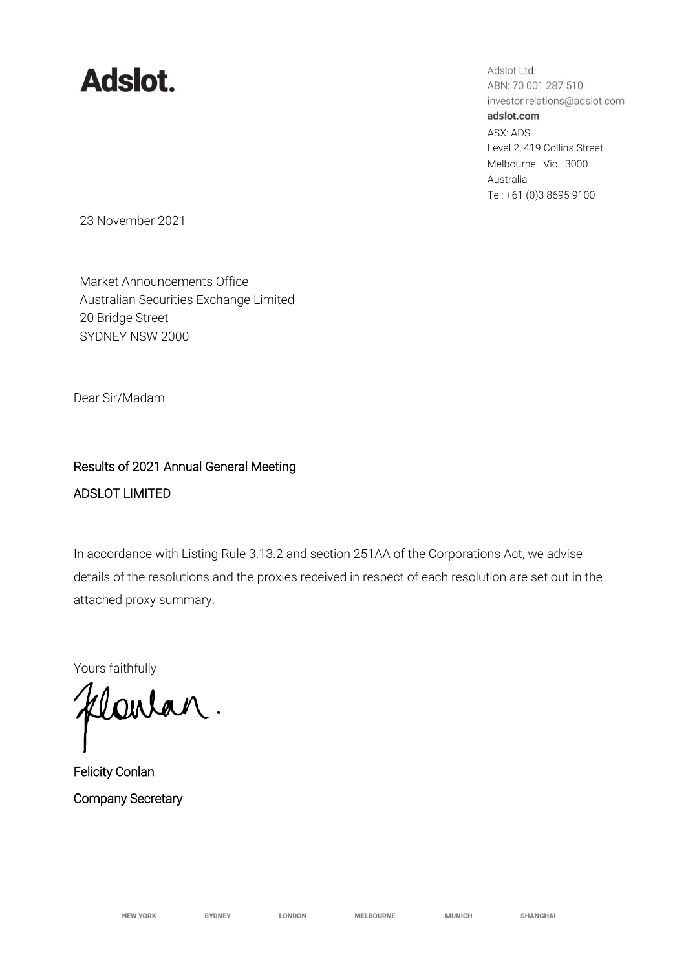## **Adslot.**

Adslot Ltd. ABN: 70 001 287 510 investor.relations@adslot.com adslot.com ASX: ADS Level 2, 419 Collins Street Melbourne Vic 3000 Australia Tel: +61 (0)3 8695 9100

23 November 2021

Market Announcements Office Australian Securities Exchange Limited 20 Bridge Street SYDNEY NSW 2000

Dear Sir/Madam

## Results of 2021 Annual General Meeting ADSLOT LIMITED

In accordance with Listing Rule 3.13.2 and section 251AA of the Corporations Act, we advise details of the resolutions and the proxies received in respect of each resolution are set out in the attached proxy summary.

Yours faithfully

Clarlan.

Felicity Conlan Company Secretary